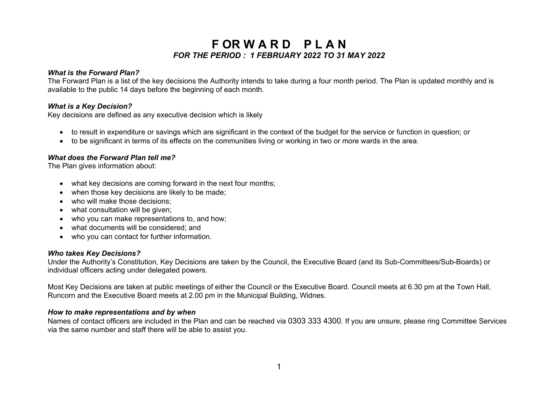## **F OR W A R D P L A N** *FOR THE PERIOD : 1 FEBRUARY 2022 TO 31 MAY 2022*

### *What is the Forward Plan?*

The Forward Plan is a list of the key decisions the Authority intends to take during a four month period. The Plan is updated monthly and is available to the public 14 days before the beginning of each month.

#### *What is a Key Decision?*

Key decisions are defined as any executive decision which is likely

- to result in expenditure or savings which are significant in the context of the budget for the service or function in question; or
- to be significant in terms of its effects on the communities living or working in two or more wards in the area.

#### *What does the Forward Plan tell me?*

The Plan gives information about:

- what key decisions are coming forward in the next four months;
- when those key decisions are likely to be made;
- who will make those decisions;
- what consultation will be given:
- who you can make representations to, and how:
- what documents will be considered; and
- who you can contact for further information.

## *Who takes Key Decisions?*

Under the Authority's Constitution, Key Decisions are taken by the Council, the Executive Board (and its Sub-Committees/Sub-Boards) or individual officers acting under delegated powers.

Most Key Decisions are taken at public meetings of either the Council or the Executive Board. Council meets at 6.30 pm at the Town Hall, Runcorn and the Executive Board meets at 2.00 pm in the Municipal Building, Widnes.

## *How to make representations and by when*

Names of contact officers are included in the Plan and can be reached via 0303 333 4300. If you are unsure, please ring Committee Services via the same number and staff there will be able to assist you.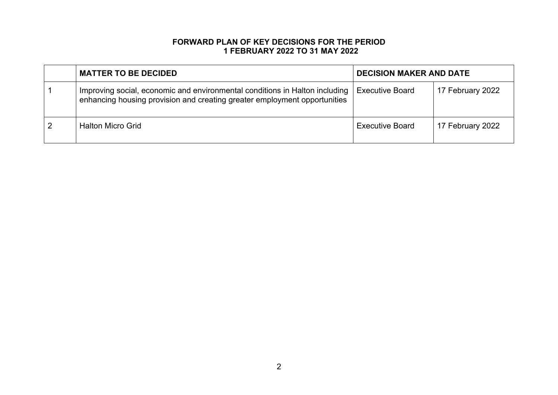## **FORWARD PLAN OF KEY DECISIONS FOR THE PERIOD 1 FEBRUARY 2022 TO 31 MAY 2022**

| <b>MATTER TO BE DECIDED</b>                                                                                                                              | <b>DECISION MAKER AND DATE</b> |                  |
|----------------------------------------------------------------------------------------------------------------------------------------------------------|--------------------------------|------------------|
| Improving social, economic and environmental conditions in Halton including<br>enhancing housing provision and creating greater employment opportunities | <b>Executive Board</b>         | 17 February 2022 |
| <b>Halton Micro Grid</b>                                                                                                                                 | <b>Executive Board</b>         | 17 February 2022 |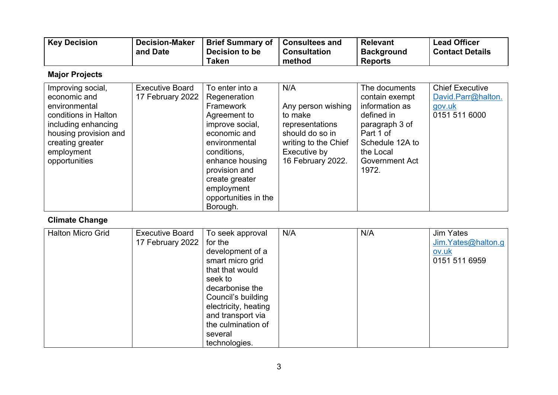| Key Decision | <b>Decision-Maker</b> | <b>Brief Summary of</b> | <b>Consultees and</b> | <b>Relevant</b>   | <b>Lead Officer</b>    |
|--------------|-----------------------|-------------------------|-----------------------|-------------------|------------------------|
|              | and Date              | Decision to be          | <b>Consultation</b>   | <b>Background</b> | <b>Contact Details</b> |
|              |                       | Taken                   | method                | <b>Reports</b>    |                        |

# **Major Projects**

| Improving social,<br>economic and<br>environmental<br>conditions in Halton<br>including enhancing<br>housing provision and<br>creating greater<br>employment<br>opportunities | <b>Executive Board</b><br>17 February 2022 | To enter into a<br>Regeneration<br>Framework<br>Agreement to<br>improve social,<br>economic and<br>environmental<br>conditions,<br>enhance housing<br>provision and<br>create greater<br>employment<br>opportunities in the | N/A<br>Any person wishing<br>to make<br>representations<br>should do so in<br>writing to the Chief<br>Executive by<br>16 February 2022. | The documents<br>contain exempt<br>information as<br>defined in<br>paragraph 3 of<br>Part 1 of<br>Schedule 12A to<br>the Local<br><b>Government Act</b><br>1972. | <b>Chief Executive</b><br>David.Parr@halton.<br>gov.uk<br>0151 511 6000 |
|-------------------------------------------------------------------------------------------------------------------------------------------------------------------------------|--------------------------------------------|-----------------------------------------------------------------------------------------------------------------------------------------------------------------------------------------------------------------------------|-----------------------------------------------------------------------------------------------------------------------------------------|------------------------------------------------------------------------------------------------------------------------------------------------------------------|-------------------------------------------------------------------------|
|                                                                                                                                                                               |                                            | Borough.                                                                                                                                                                                                                    |                                                                                                                                         |                                                                                                                                                                  |                                                                         |

# **Climate Change**

| <b>Halton Micro Grid</b> | <b>Executive Board</b><br>17 February 2022 | To seek approval<br>for the<br>development of a<br>smart micro grid<br>that that would<br>seek to<br>decarbonise the<br>Council's building<br>electricity, heating<br>and transport via<br>the culmination of<br>several | N/A | N/A | <b>Jim Yates</b><br>Jim.Yates@halton.g<br>ov.uk<br>0151 511 6959 |
|--------------------------|--------------------------------------------|--------------------------------------------------------------------------------------------------------------------------------------------------------------------------------------------------------------------------|-----|-----|------------------------------------------------------------------|
|                          |                                            | technologies.                                                                                                                                                                                                            |     |     |                                                                  |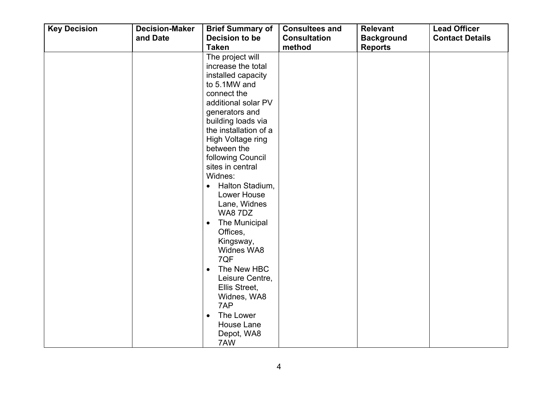| <b>Key Decision</b> | <b>Decision-Maker</b> | <b>Brief Summary of</b>                                                                                                                                                                                                                                                                                                                                                                                                                                                                                                                                                             | <b>Consultees and</b>         | <b>Relevant</b>                     | <b>Lead Officer</b>    |
|---------------------|-----------------------|-------------------------------------------------------------------------------------------------------------------------------------------------------------------------------------------------------------------------------------------------------------------------------------------------------------------------------------------------------------------------------------------------------------------------------------------------------------------------------------------------------------------------------------------------------------------------------------|-------------------------------|-------------------------------------|------------------------|
|                     | and Date              | Decision to be<br><b>Taken</b>                                                                                                                                                                                                                                                                                                                                                                                                                                                                                                                                                      | <b>Consultation</b><br>method | <b>Background</b><br><b>Reports</b> | <b>Contact Details</b> |
|                     |                       | The project will<br>increase the total<br>installed capacity<br>to 5.1MW and<br>connect the<br>additional solar PV<br>generators and<br>building loads via<br>the installation of a<br>High Voltage ring<br>between the<br>following Council<br>sites in central<br>Widnes:<br>Halton Stadium,<br>$\bullet$<br>Lower House<br>Lane, Widnes<br>WA87DZ<br>The Municipal<br>$\bullet$<br>Offices,<br>Kingsway,<br>Widnes WA8<br>7QF<br>The New HBC<br>$\bullet$<br>Leisure Centre,<br>Ellis Street,<br>Widnes, WA8<br>7AP<br>The Lower<br>$\bullet$<br>House Lane<br>Depot, WA8<br>7AW |                               |                                     |                        |